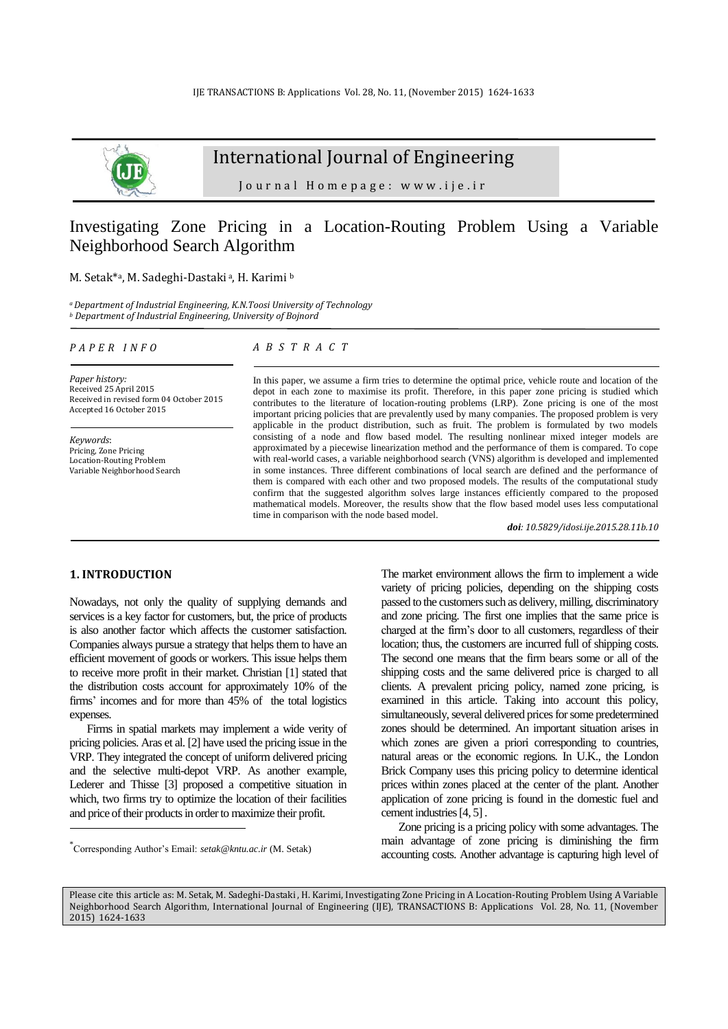

# International Journal of Engineering

J o u r n a l H o m e p a g e : w w w . i j e . i r

## Investigating Zone Pricing in a Location-Routing Problem Using a Variable Neighborhood Search Algorithm

#### M. Setak\*a, M. Sadeghi-Dastaki<sup>a</sup>, H. Karimi b

*<sup>a</sup>Department of Industrial Engineering, K.N.Toosi University of Technology <sup>b</sup> Department of Industrial Engineering, University of Bojnord*

#### *P A P E R I N F O*

*Paper history:* Received 25 April 2015 Received in revised form 04 October 2015 Accepted 16 October 2015

*Keywords*: Pricing, Zone Pricing Location-Routing Problem Variable Neighborhood Search

#### *A B S T R A C T*

In this paper, we assume a firm tries to determine the optimal price, vehicle route and location of the depot in each zone to maximise its profit. Therefore, in this paper zone pricing is studied which contributes to the literature of location-routing problems (LRP). Zone pricing is one of the most important pricing policies that are prevalently used by many companies. The proposed problem is very applicable in the product distribution, such as fruit. The problem is formulated by two models consisting of a node and flow based model. The resulting nonlinear mixed integer models are approximated by a piecewise linearization method and the performance of them is compared. To cope with real-world cases, a variable neighborhood search (VNS) algorithm is developed and implemented in some instances. Three different combinations of local search are defined and the performance of them is compared with each other and two proposed models. The results of the computational study confirm that the suggested algorithm solves large instances efficiently compared to the proposed mathematical models. Moreover, the results show that the flow based model uses less computational time in comparison with the node based model.

*doi: 10.5829/idosi.ije.2015.28.11b.10*

## **1. INTRODUCTION<sup>1</sup>**

-

Nowadays, not only the quality of supplying demands and services is a key factor for customers, but, the price of products is also another factor which affects the customer satisfaction. Companies always pursue a strategy that helps them to have an efficient movement of goods or workers. This issue helps them to receive more profit in their market. Christian [\[1\]](#page-8-0) stated that the distribution costs account for approximately 10% of the firms' incomes and for more than 45% of the total logistics expenses.

Firms in spatial markets may implement a wide verity of pricing policies. Aras et al. [\[2\]](#page-8-1) have used the pricing issue in the VRP. They integrated the concept of uniform delivered pricing and the selective multi-depot VRP. As another example, Lederer and Thisse [\[3\]](#page-8-2) proposed a competitive situation in which, two firms try to optimize the location of their facilities and price of their products in order to maximize their profit.

The market environment allows the firm to implement a wide variety of pricing policies, depending on the shipping costs passed to the customers such as delivery, milling, discriminatory and zone pricing. The first one implies that the same price is charged at the firm's door to all customers, regardless of their location; thus, the customers are incurred full of shipping costs. The second one means that the firm bears some or all of the shipping costs and the same delivered price is charged to all clients. A prevalent pricing policy, named zone pricing, is examined in this article. Taking into account this policy, simultaneously, several delivered prices for some predetermined zones should be determined. An important situation arises in which zones are given a priori corresponding to countries, natural areas or the economic regions. In U.K., the London Brick Company uses this pricing policy to determine identical prices within zones placed at the center of the plant. Another application of zone pricing is found in the domestic fuel and cement industries [\[4,](#page-8-3) [5\]](#page-8-4).

Zone pricing is a pricing policy with some advantages. The main advantage of zone pricing is diminishing the firm accounting costs. Another advantage is capturing high level of

<sup>\*</sup> Corresponding Author's Email: *[setak@kntu.ac.ir](mailto:setak@kntu.ac.ir)* (M. Setak)

Please cite this article as: M. Setak, M. Sadeghi-Dastaki , H. Karimi, Investigating Zone Pricing in A Location-Routing Problem Using A Variable Neighborhood Search Algorithm, International Journal of Engineering (IJE), TRANSACTIONS B: Applications Vol. 28, No. 11, (November 2015) 1624-1633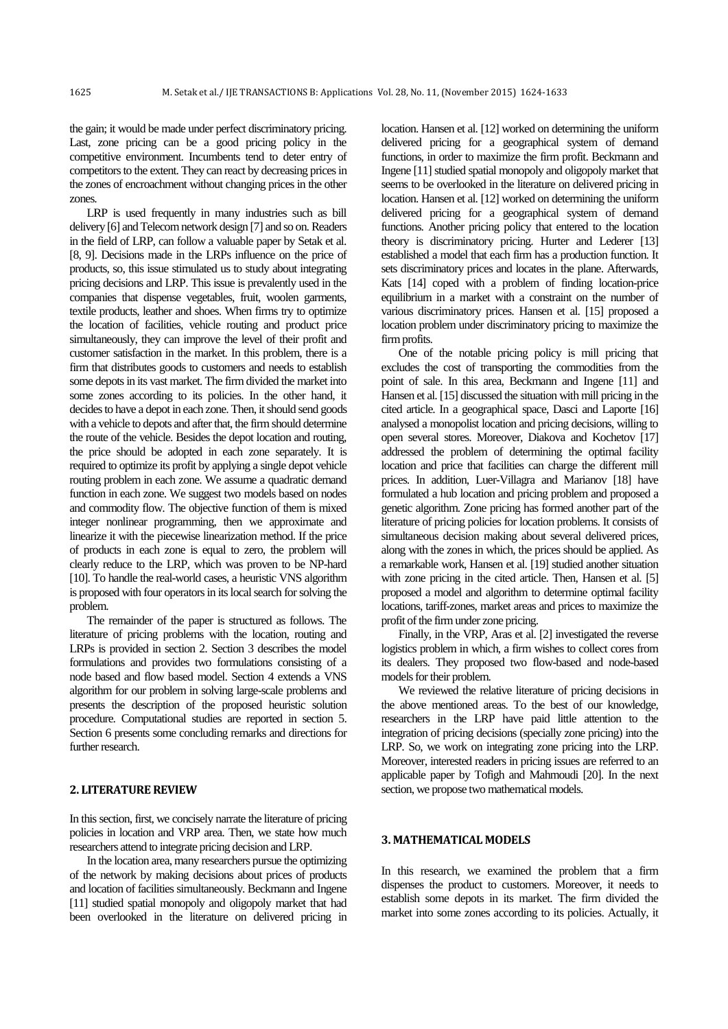the gain; it would be made under perfect discriminatory pricing. Last, zone pricing can be a good pricing policy in the competitive environment. Incumbents tend to deter entry of competitors to the extent. They can react by decreasing prices in the zones of encroachment without changing prices in the other zones.

LRP is used frequently in many industries such as bill delivery [\[6\]](#page-8-5) and Telecom network design [\[7\]](#page-8-6) and so on. Readers in the field of LRP, can follow a valuable paper by Setak et al. [\[8,](#page-8-7) [9\]](#page-8-8). Decisions made in the LRPs influence on the price of products, so, this issue stimulated us to study about integrating pricing decisions and LRP. This issue is prevalently used in the companies that dispense vegetables, fruit, woolen garments, textile products, leather and shoes. When firms try to optimize the location of facilities, vehicle routing and product price simultaneously, they can improve the level of their profit and customer satisfaction in the market. In this problem, there is a firm that distributes goods to customers and needs to establish some depots in its vast market. The firm divided the market into some zones according to its policies. In the other hand, it decides to have a depot in each zone. Then, it should send goods with a vehicle to depots and after that, the firm should determine the route of the vehicle. Besides the depot location and routing, the price should be adopted in each zone separately. It is required to optimize its profit by applying a single depot vehicle routing problem in each zone. We assume a quadratic demand function in each zone. We suggest two models based on nodes and commodity flow. The objective function of them is mixed integer nonlinear programming, then we approximate and linearize it with the piecewise linearization method. If the price of products in each zone is equal to zero, the problem will clearly reduce to the LRP, which was proven to be NP-hard [\[10\]](#page-8-9). To handle the real-world cases, a heuristic VNS algorithm is proposed with four operators in its local search for solving the problem.

The remainder of the paper is structured as follows. The literature of pricing problems with the location, routing and LRPs is provided in section 2. Section 3 describes the model formulations and provides two formulations consisting of a node based and flow based model. Section 4 extends a VNS algorithm for our problem in solving large-scale problems and presents the description of the proposed heuristic solution procedure. Computational studies are reported in section 5. Section 6 presents some concluding remarks and directions for further research.

## **2. LITERATURE REVIEW**

In this section, first, we concisely narrate the literature of pricing policies in location and VRP area. Then, we state how much researchers attend to integrate pricing decision and LRP.

In the location area, many researchers pursue the optimizing of the network by making decisions about prices of products and location of facilities simultaneously. Beckmann and Ingene [\[11\]](#page-8-10) studied spatial monopoly and oligopoly market that had been overlooked in the literature on delivered pricing in location. Hansen et al. [\[12\]](#page-8-11) worked on determining the uniform delivered pricing for a geographical system of demand functions, in order to maximize the firm profit. Beckmann and Ingene [\[11\]](#page-8-10) studied spatial monopoly and oligopoly market that seems to be overlooked in the literature on delivered pricing in location. Hansen et al. [\[12\]](#page-8-11) worked on determining the uniform delivered pricing for a geographical system of demand functions. Another pricing policy that entered to the location theory is discriminatory pricing. Hurter and Lederer [\[13\]](#page-8-12) established a model that each firm has a production function. It sets discriminatory prices and locates in the plane. Afterwards, Kats [\[14\]](#page-8-13) coped with a problem of finding location-price equilibrium in a market with a constraint on the number of various discriminatory prices. Hansen et al. [\[15\]](#page-8-14) proposed a location problem under discriminatory pricing to maximize the firm profits.

One of the notable pricing policy is mill pricing that excludes the cost of transporting the commodities from the point of sale. In this area, Beckmann and Ingene [\[11\]](#page-8-10) and Hansen et al. [\[15\]](#page-8-14) discussed the situation with mill pricing in the cited article. In a geographical space, Dasci and Laporte [\[16\]](#page-8-15) analysed a monopolist location and pricing decisions, willing to open several stores. Moreover, Diakova and Kochetov [\[17\]](#page-8-16) addressed the problem of determining the optimal facility location and price that facilities can charge the different mill prices. In addition, Luer-Villagra and Marianov [\[18\]](#page-8-17) have formulated a hub location and pricing problem and proposed a genetic algorithm. Zone pricing has formed another part of the literature of pricing policies for location problems. It consists of simultaneous decision making about several delivered prices, along with the zones in which, the prices should be applied. As a remarkable work, Hansen et al. [\[19\]](#page-8-18) studied another situation with zone pricing in the cited article. Then, Hansen et al. [\[5\]](#page-8-4) proposed a model and algorithm to determine optimal facility locations, tariff-zones, market areas and prices to maximize the profit of the firm under zone pricing.

Finally, in the VRP, Aras et al. [\[2\]](#page-8-1) investigated the reverse logistics problem in which, a firm wishes to collect cores from its dealers. They proposed two flow-based and node-based models for their problem.

We reviewed the relative literature of pricing decisions in the above mentioned areas. To the best of our knowledge, researchers in the LRP have paid little attention to the integration of pricing decisions (specially zone pricing) into the LRP. So, we work on integrating zone pricing into the LRP. Moreover, interested readers in pricing issues are referred to an applicable paper by Tofigh and Mahmoudi [\[20\]](#page-8-19). In the next section, we propose two mathematical models.

#### **3. MATHEMATICAL MODELS**

In this research, we examined the problem that a firm dispenses the product to customers. Moreover, it needs to establish some depots in its market. The firm divided the market into some zones according to its policies. Actually, it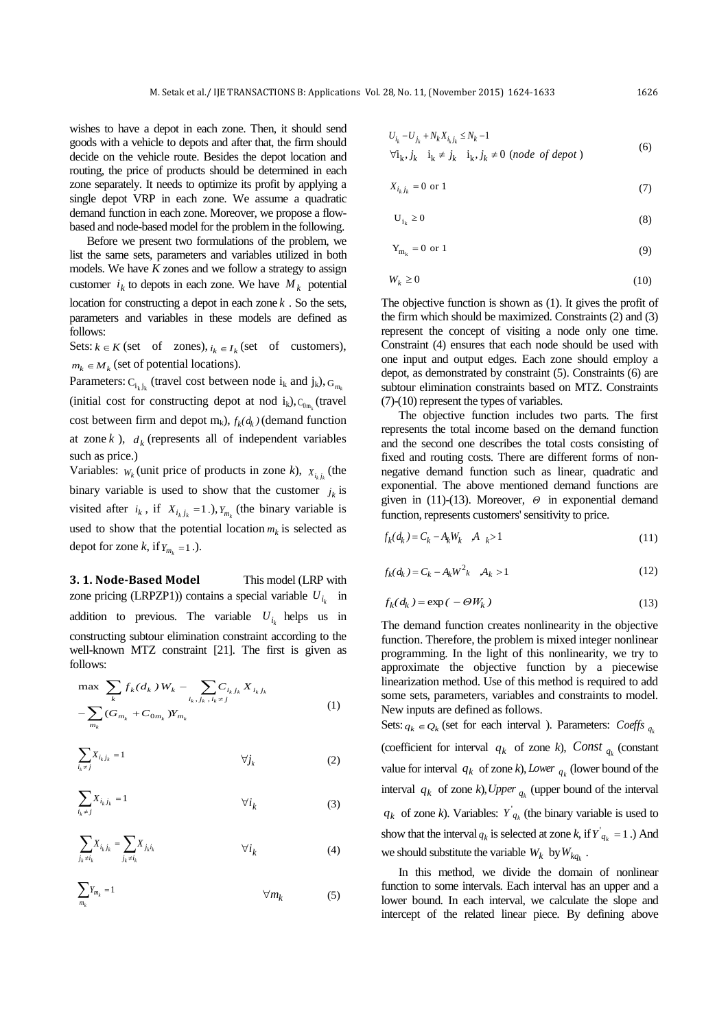wishes to have a depot in each zone. Then, it should send goods with a vehicle to depots and after that, the firm should decide on the vehicle route. Besides the depot location and routing, the price of products should be determined in each zone separately. It needs to optimize its profit by applying a single depot VRP in each zone. We assume a quadratic demand function in each zone. Moreover, we propose a flowbased and node-based model for the problem in the following.

Before we present two formulations of the problem, we list the same sets, parameters and variables utilized in both models. We have *K* zones and we follow a strategy to assign customer  $i_k$  to depots in each zone. We have  $M_k$  potential location for constructing a depot in each zone *k* . So the sets, parameters and variables in these models are defined as follows:

Sets:  $k \in K$  (set of zones),  $i_k \in I_k$  (set of customers),  $m_k \in M_k$  (set of potential locations).

Parameters:  $C_{i_k j_k}$  (travel cost between node  $i_k$  and  $j_k$ ),  $G_{m_k}$ (initial cost for constructing depot at nod  $i_k$ ),  $C_{0m_k}$  (travel cost between firm and depot  $m_k$ ,  $f_k(d_k)$  (demand function at zone  $k$ ),  $d_k$  (represents all of independent variables such as price.)

Variables:  $W_k$  (unit price of products in zone *k*),  $X_{i_k j_k}$  (the binary variable is used to show that the customer  $j_k$  is visited after  $i_k$ , if  $X_{i_k j_k} = 1.$ ),  $Y_{m_k}$  (the binary variable is used to show that the potential location  $m_k$  is selected as depot for zone *k*, if  $Y_{m_k} = 1$ .).

**3. 1. Node-Based Model** This model (LRP with zone pricing (LRPZP1)) contains a special variable  $U_{i_k}$  in addition to previous. The variable  $U_{i_k}$  helps us in constructing subtour elimination constraint according to the well-known MTZ constraint [\[21\]](#page-8-20). The first is given as follows:

$$
\max \sum_{k} f_{k}(d_{k}) W_{k} - \sum_{i_{k},j_{k},i_{k} \neq j} C_{i_{k}j_{k}} X_{i_{k}j_{k}} - \sum_{m_{k}} (G_{m_{k}} + C_{0m_{k}}) Y_{m_{k}}
$$
\n(1)

$$
\sum_{i_k \neq j} X_{i_k j_k} = 1 \qquad \qquad \forall j_k \tag{2}
$$

$$
\sum_{i_k \neq j} X_{i_k j_k} = 1 \qquad \qquad \forall i_k \tag{3}
$$

$$
\sum_{j_k \neq i_k} X_{i_k j_k} = \sum_{j_k \neq i_k} X_{j_k i_k} \qquad \forall i_k
$$
\n(4)

$$
\sum_{m_k} Y_{m_k} = 1 \qquad \qquad \forall m_k \qquad \qquad (5)
$$

$$
U_{i_k} - U_{j_k} + N_k X_{i_k j_k} \le N_k - 1
$$
  
\n
$$
\forall \mathbf{i}_k, \, j_k \quad \mathbf{i}_k \neq j_k \quad \mathbf{i}_k, \, j_k \neq 0 \ (node \ of \ deport \ )
$$
 (6)

$$
X_{i_k j_k} = 0 \text{ or } 1\tag{7}
$$

$$
U_{i_k} \ge 0 \tag{8}
$$

$$
Y_{m_k} = 0 \text{ or } 1 \tag{9}
$$

$$
W_k \ge 0 \tag{10}
$$

The objective function is shown as (1). It gives the profit of the firm which should be maximized. Constraints (2) and (3) represent the concept of visiting a node only one time. Constraint (4) ensures that each node should be used with one input and output edges. Each zone should employ a depot, as demonstrated by constraint (5). Constraints (6) are subtour elimination constraints based on MTZ. Constraints (7)-(10) represent the types of variables.

The objective function includes two parts. The first represents the total income based on the demand function and the second one describes the total costs consisting of fixed and routing costs. There are different forms of nonnegative demand function such as linear, quadratic and exponential. The above mentioned demand functions are given in (11)-(13). Moreover, *Θ* in exponential demand function, represents customers' sensitivity to price.

$$
f_k(d_k) = C_k - A_k W_k \quad A \quad k > 1
$$
\n(11)

$$
f_k(d_k) = C_k - A_k W^2_k \quad A_k > 1
$$
 (12)

$$
f_k(d_k) = \exp(-\Theta W_k)
$$
\n(13)

The demand function creates nonlinearity in the objective function. Therefore, the problem is mixed integer nonlinear programming. In the light of this nonlinearity, we try to approximate the objective function by a piecewise linearization method. Use of this method is required to add some sets, parameters, variables and constraints to model. New inputs are defined as follows.

Sets:  $q_k \in Q_k$  (set for each interval ). Parameters: Coeffs  $q_k$ (coefficient for interval  $q_k$  of zone  $k$ ), Const  $q_k$  (constant value for interval  $q_k$  of zone  $k$ ), Lower  $q_k$  (lower bound of the interval  $q_k$  of zone  $k$ ), Upper  $q_k$  (upper bound of the interval  $q_k$  of zone *k*). Variables:  $Y'_{q_k}$  (the binary variable is used to show that the interval  $q_k$  is selected at zone  $k$ , if  $Y'_{q_k} = 1$ .) And we should substitute the variable  $W_k$  by  $W_{kq_k}$ .

In this method, we divide the domain of nonlinear function to some intervals. Each interval has an upper and a lower bound. In each interval, we calculate the slope and intercept of the related linear piece. By defining above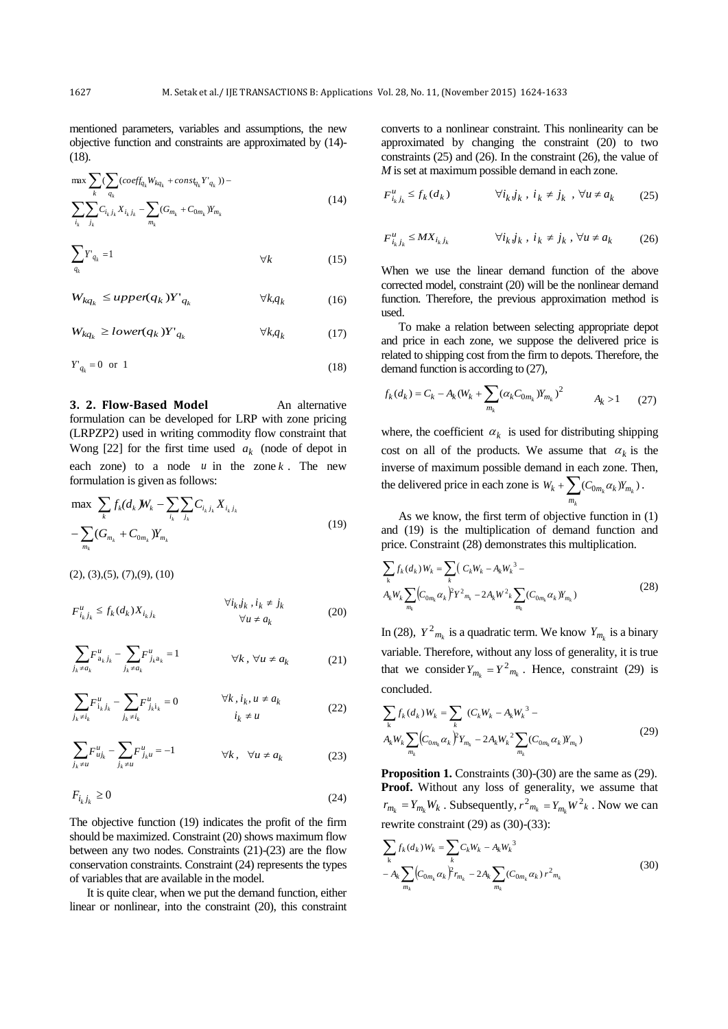mentioned parameters, variables and assumptions, the new objective function and constraints are approximated by (14)- (18).

$$
\max_{k} \sum_{q_k} (\sum_{q_k} (coeff_{q_k} W_{kq_k} + const_{q_k} Y_{q_k})) -
$$
  

$$
\sum_{i_k} \sum_{j_k} C_{i_k j_k} X_{i_k j_k} - \sum_{m_k} (G_{m_k} + C_{0m_k} Y_{m_k})
$$
 (14)

$$
\sum_{q_k} Y_{q_k} = 1 \qquad \qquad \forall k \tag{15}
$$

*k,q<sup>k</sup>* (16)  $W_{kq_k} \leq \text{upper}(q_k)Y_{q_k}$ 

$$
W_{kq_k} \geq lower(q_k)Y'_{q_k} \qquad \forall k, q_k \tag{17}
$$

$$
Y'_{q_k} = 0 \quad \text{or} \quad 1 \tag{18}
$$

**3. 2. Flow-Based Model An alternative** formulation can be developed for LRP with zone pricing (LRPZP2) used in writing commodity flow constraint that Wong  $[22]$  for the first time used  $a_k$  (node of depot in each zone) to a node  $u$  in the zone  $k$ . The new formulation is given as follows:

$$
\max_{k} \sum_{k} f_{k}(d_{k} W_{k} - \sum_{i_{k}} \sum_{j_{k}} C_{i_{k} j_{k}} X_{i_{k} j_{k}} - \sum_{m_{k}} (G_{m_{k}} + C_{0m_{k}}) Y_{m_{k}}
$$
\n(19)

 $(2), (3), (5), (7), (9), (10)$ 

$$
F_{i_k j_k}^u \le f_k(d_k) X_{i_k j_k} \qquad \forall i_k j_k, i_k \ne j_k
$$
  

$$
\forall u \ne a_k
$$
 (20)

$$
\sum_{j_k \neq a_k} F_{a_k j_k}^u - \sum_{j_k \neq a_k} F_{j_k a_k}^u = 1 \qquad \forall k, \forall u \neq a_k \qquad (21)
$$

$$
\sum_{j_k \neq i_k} F_{i_k j_k}^u - \sum_{j_k \neq i_k} F_{j_k i_k}^u = 0 \qquad \forall k, i_k, u \neq a_k
$$
\n(22)

$$
\sum_{j_k \neq u} F_{uj_k}^u - \sum_{j_k \neq u} F_{j_k u}^u = -1 \qquad \forall k, \quad \forall u \neq a_k \tag{23}
$$

$$
F_{i_k j_k} \ge 0 \tag{24}
$$

The objective function (19) indicates the profit of the firm should be maximized. Constraint (20) shows maximum flow between any two nodes. Constraints (21)-(23) are the flow conservation constraints. Constraint (24) represents the types of variables that are available in the model.

It is quite clear, when we put the demand function, either linear or nonlinear, into the constraint (20), this constraint converts to a nonlinear constraint. This nonlinearity can be approximated by changing the constraint (20) to two constraints (25) and (26). In the constraint (26), the value of *M* is set at maximum possible demand in each zone.

$$
F_{i_k j_k}^u \le f_k(d_k) \qquad \forall i_k j_k, i_k \ne j_k , \forall u \ne a_k \qquad (25)
$$

$$
F_{i_k j_k}^u \le M X_{i_k j_k} \qquad \forall i_k j_k, i_k \ne j_k, \forall u \ne a_k \qquad (26)
$$

When we use the linear demand function of the above corrected model, constraint (20) will be the nonlinear demand function. Therefore, the previous approximation method is used.

To make a relation between selecting appropriate depot and price in each zone, we suppose the delivered price is related to shipping cost from the firm to depots. Therefore, the demand function is according to (27),

$$
f_k(d_k) = C_k - A_k (W_k + \sum_{m_k} (\alpha_k C_{0m_k}) Y_{m_k})^2
$$
  $A_k > 1$  (27)

where, the coefficient  $\alpha_k$  is used for distributing shipping cost on all of the products. We assume that  $\alpha_k$  is the inverse of maximum possible demand in each zone. Then, the delivered price in each zone is  $W_k + \sum_{k} (C_{0m_k} \alpha_k) Y_{m_k}$ . *k m*

As we know, the first term of objective function in (1) and (19) is the multiplication of demand function and price. Constraint (28) demonstrates this multiplication.

$$
\sum_{k} f_{k} (d_{k}) W_{k} = \sum_{k} (C_{k} W_{k} - A_{k} W_{k}^{3} - A_{k} W_{k} \sum_{m_{k}} (C_{0m_{k}} \alpha_{k})^{2} Y^{2} m_{k} - 2A_{k} W^{2} k \sum_{m_{k}} (C_{0m_{k}} \alpha_{k}) Y_{m_{k}})
$$
\n(28)

In (28),  $Y^2_{m_k}$  is a quadratic term. We know  $Y_{m_k}$  is a binary variable. Therefore, without any loss of generality, it is true that we consider  $Y_{m_k} = Y^2_{m_k}$ . Hence, constraint (29) is concluded.

$$
\sum_{k} f_{k} (d_{k}) W_{k} = \sum_{k} (C_{k} W_{k} - A_{k} W_{k}^{3} - A_{k} W_{k} \sum_{m_{k}} (C_{0m_{k}} \alpha_{k})^{2} Y_{m_{k}} - 2A_{k} W_{k}^{2} \sum_{m_{k}} (C_{0m_{k}} \alpha_{k}) Y_{m_{k}})
$$
\n(29)

**Proposition 1.** Constraints (30)-(30) are the same as (29). **Proof.** Without any loss of generality, we assume that  $r_{m_k} = Y_{m_k} W_k$ . Subsequently,  $r^2_{m_k} = Y_{m_k} W^2_k$ . Now we can rewrite constraint (29) as (30)-(33):

$$
\sum_{k} f_{k}(d_{k}) W_{k} = \sum_{k} C_{k} W_{k} - A_{k} W_{k}^{3}
$$
  

$$
- A_{k} \sum_{m_{k}} (C_{0m_{k}} \alpha_{k})^{2} r_{m_{k}} - 2A_{k} \sum_{m_{k}} (C_{0m_{k}} \alpha_{k}) r^{2} m_{k}
$$
 (30)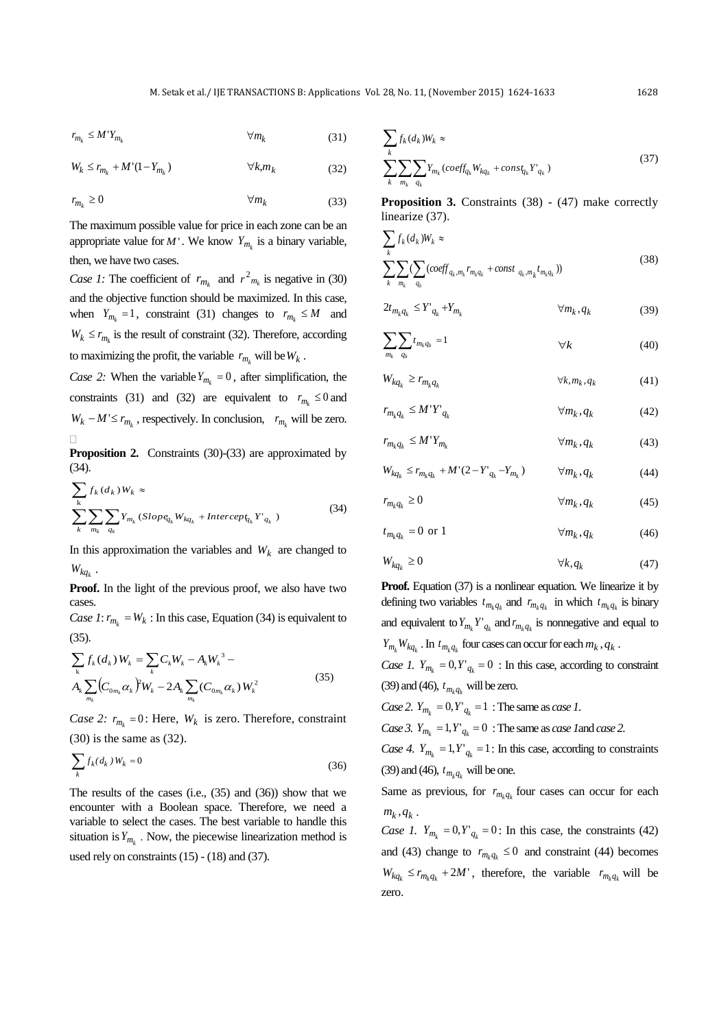$r_{m_k} \leq M'Y_{m_k}$   $\forall m_k$ (31)

$$
W_k \le r_{m_k} + M'(1 - Y_{m_k}) \qquad \forall k, m_k \tag{32}
$$

$$
r_{m_k} \ge 0 \qquad \qquad \forall m_k \tag{33}
$$

The maximum possible value for price in each zone can be an appropriate value for  $M'$ . We know  $Y_{m_k}$  is a binary variable, then, we have two cases.

Case 1: The coefficient of  $r_{m_k}$  and  $r^2_{m_k}$  is negative in (30) and the objective function should be maximized. In this case, when  $Y_{m_k} = 1$ , constraint (31) changes to  $r_{m_k} \leq M$  and  $W_k \le r_{m_k}$  is the result of constraint (32). Therefore, according to maximizing the profit, the variable  $r_{m_k}$  will be  $W_k$ .

*Case 2:* When the variable  $Y_{m_k} = 0$ , after simplification, the constraints (31) and (32) are equivalent to  $r_{m_k} \leq 0$  and  $W_k - M' \le r_{m_k}$ , respectively. In conclusion,  $r_{m_k}$  will be zero.  $\Box$ 

**Proposition 2.** Constraints (30)-(33) are approximated by (34).

$$
\sum_{k} f_k(d_k) W_k \approx
$$
\n
$$
\sum_{k} \sum_{m_k} \sum_{q_k} Y_{m_k} (Slope_{q_k} W_{kq_k} + Intercep_{q_k} Y'_{q_k})
$$
\n(34)

In this approximation the variables and  $W_k$  are changed to  $W_{kq_k}$ .

**Proof.** In the light of the previous proof, we also have two cases.

*Case 1*:  $r_{m_k} = W_k$ : In this case, Equation (34) is equivalent to (35).

$$
\sum_{k} f_{k}(d_{k}) W_{k} = \sum_{k} C_{k} W_{k} - A_{k} W_{k}^{3} - A_{k} \sum_{m_{k}} (C_{0m_{k}} \alpha_{k}) W_{k} - 2A_{k} \sum_{m_{k}} (C_{0m_{k}} \alpha_{k}) W_{k}^{2}
$$
\n(35)

*Case 2:*  $r_{m_k} = 0$ : Here,  $W_k$  is zero. Therefore, constraint (30) is the same as (32).

$$
\sum_{k} f_k(d_k) W_k = 0 \tag{36}
$$

The results of the cases (i.e., (35) and (36)) show that we encounter with a Boolean space. Therefore, we need a variable to select the cases. The best variable to handle this situation is  $Y_{m_k}$ . Now, the piecewise linearization method is used rely on constraints  $(15) - (18)$  and  $(37)$ .

$$
\sum_{k} f_k (d_k) W_k \approx
$$
\n
$$
\sum_{k} \sum_{m_k} \sum_{q_k} Y_{m_k} (coeff_{q_k} W_{kq_k} + const_{q_k} Y_{q_k})
$$
\n(37)

**Proposition 3.** Constraints (38) - (47) make correctly linearize (37).

$$
\sum_{k} f_k(d_k) W_k \approx
$$
\n
$$
\sum_{k} \sum_{m_k} \sum_{q_k} (coeff_{q_k, m_k} r_{m_k q_k} + const_{q_k, m_k} t_{m_k q_k}))
$$
\n(38)

$$
2t_{m_k q_k} \le Y'_{q_k} + Y_{m_k} \qquad \qquad \forall m_k, q_k \qquad (39)
$$

$$
\sum_{m_k} \sum_{q_k} t_{m_k q_k} = 1 \qquad \qquad \forall k \qquad (40)
$$

$$
W_{kq_k} \ge r_{m_k q_k} \qquad \qquad \forall k, m_k, q_k \tag{41}
$$

$$
r_{m_k q_k} \le M' Y'_{q_k} \qquad \qquad \forall m_k, q_k \tag{42}
$$

$$
r_{m_k q_k} \le M' Y_{m_k} \qquad \qquad \forall m_k, q_k \tag{43}
$$

$$
W_{kq_k} \le r_{m_k q_k} + M'(2 - Y'_{q_k} - Y'_{m_k}) \qquad \forall m_k, q_k \tag{44}
$$

$$
r_{m_k q_k} \ge 0 \qquad \qquad \forall m_k, q_k \qquad \qquad (45)
$$

$$
t_{m_k q_k} = 0 \text{ or } 1 \qquad \qquad \forall m_k, q_k \qquad (46)
$$

$$
W_{kq_k} \ge 0 \qquad \qquad \forall k, q_k \tag{47}
$$

**Proof.** Equation (37) is a nonlinear equation. We linearize it by defining two variables  $t_{m_k q_k}$  and  $r_{m_k q_k}$  in which  $t_{m_k q_k}$  is binary and equivalent to  $Y_{m_k} Y'_{q_k}$  and  $r_{m_k q_k}$  is nonnegative and equal to *Y*<sub>*m*<sub>*k*</sub></sub> *W*<sub>*kq*<sub>*k*</sub></sub> . In *t*<sub>*m*<sub>*k*</sub>*q*<sub>*k*</sub> *four* cases can occur for each *m*<sub>*k*</sub>, *q*<sub>*k*</sub>.</sub>

*Case 1.*  $Y_{m_k} = 0$ ,  $Y'_{q_k} = 0$ : In this case, according to constraint (39) and (46),  $t_{m_k q_k}$  will be zero.

*Case 2.*  $Y_{m_k} = 0, Y'_{q_k} = 1$ : The same as *case 1*.

*Case 3.*  $Y_{m_k} = 1, Y'_{q_k} = 0$ : The same as *case 1* and *case 2.* 

*Case 4.*  $Y_{m_k} = 1, Y'_{q_k} = 1$ : In this case, according to constraints (39) and (46),  $t_{m_k q_k}$  will be one.

Same as previous, for  $r_{m_k q_k}$  four cases can occur for each  $m_k, q_k$ .

*Case 1.*  $Y_{m_k} = 0, Y'_{q_k} = 0$ : In this case, the constraints (42) and (43) change to  $r_{m_k q_k} \leq 0$  and constraint (44) becomes  $W_{kq_k} \leq r_{m_k q_k} + 2M'$ , therefore, the variable  $r_{m_k q_k}$  will be zero.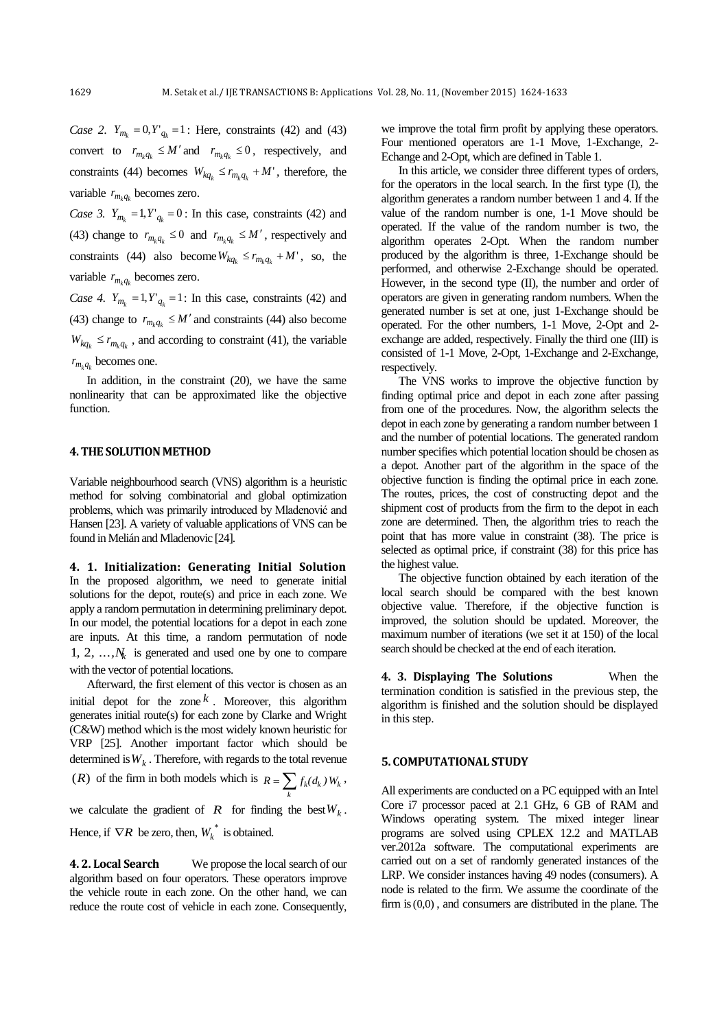*Case 2.*  $Y_{m_k} = 0, Y'_{q_k} = 1$ : Here, constraints (42) and (43) convert to  $r_{m_k q_k} \le M'$  and  $r_{m_k q_k} \le 0$ , respectively, and constraints (44) becomes  $W_{kq_k} \le r_{m_k q_k} + M'$ , therefore, the variable  $r_{m_k q_k}$  becomes zero.

*Case 3.*  $Y_{m_k} = 1, Y'_{q_k} = 0$ : In this case, constraints (42) and (43) change to  $r_{m_k q_k} \leq 0$  and  $r_{m_k q_k} \leq M'$ , respectively and constraints (44) also become  $W_{kq_k} \leq r_{m_k q_k} + M'$ , so, the variable  $r_{m_k q_k}$  becomes zero.

*Case 4.*  $Y_{m_k} = 1, Y'_{q_k} = 1$ : In this case, constraints (42) and (43) change to  $r_{m_k q_k} \leq M'$  and constraints (44) also become  $W_{kq_k} \leq r_{m_k q_k}$ , and according to constraint (41), the variable  $r_{m_k q_k}$  becomes one.

In addition, in the constraint (20), we have the same nonlinearity that can be approximated like the objective function.

### **4. THE SOLUTION METHOD**

Variable neighbourhood search (VNS) algorithm is a heuristic method for solving combinatorial and global optimization problems, which was primarily introduced by Mladenović and Hansen [\[23\]](#page-8-22). A variety of valuable applications of VNS can be found in Melián and Mladenovic [\[24\]](#page-8-23).

**4. 1. Initialization: Generating Initial Solution** In the proposed algorithm, we need to generate initial solutions for the depot, route(s) and price in each zone. We apply a random permutation in determining preliminary depot. In our model, the potential locations for a depot in each zone are inputs. At this time, a random permutation of node 1, 2,  $\dots$ ,  $N_k$  is generated and used one by one to compare with the vector of potential locations.

Afterward, the first element of this vector is chosen as an initial depot for the zone  $k$ . Moreover, this algorithm generates initial route(s) for each zone by Clarke and Wright (C&W) method which is the most widely known heuristic for VRP [\[25\]](#page-8-24). Another important factor which should be determined is  $W_k$  . Therefore, with regards to the total revenue

(*R*) of the firm in both models which is  $R = \sum f_k(d_k)W_k$  $R = \sum_{k} f_{k}(d_{k}) W_{k}$ ,

we calculate the gradient of  $R$  for finding the best  $W_k$ .

Hence, if  $\nabla R$  be zero, then,  $W_k^*$  is obtained.

**4. 2. Local Search** We propose the local search of our algorithm based on four operators. These operators improve the vehicle route in each zone. On the other hand, we can reduce the route cost of vehicle in each zone. Consequently,

we improve the total firm profit by applying these operators. Four mentioned operators are 1-1 Move, 1-Exchange, 2- Echange and 2-Opt, which are defined in Table 1.

In this article, we consider three different types of orders, for the operators in the local search. In the first type (I), the algorithm generates a random number between 1 and 4. If the value of the random number is one, 1-1 Move should be operated. If the value of the random number is two, the algorithm operates 2-Opt. When the random number produced by the algorithm is three, 1-Exchange should be performed, and otherwise 2-Exchange should be operated. However, in the second type (II), the number and order of operators are given in generating random numbers. When the generated number is set at one, just 1-Exchange should be operated. For the other numbers, 1-1 Move, 2-Opt and 2 exchange are added, respectively. Finally the third one (III) is consisted of 1-1 Move, 2-Opt, 1-Exchange and 2-Exchange, respectively.

The VNS works to improve the objective function by finding optimal price and depot in each zone after passing from one of the procedures. Now, the algorithm selects the depot in each zone by generating a random number between 1 and the number of potential locations. The generated random number specifies which potential location should be chosen as a depot. Another part of the algorithm in the space of the objective function is finding the optimal price in each zone. The routes, prices, the cost of constructing depot and the shipment cost of products from the firm to the depot in each zone are determined. Then, the algorithm tries to reach the point that has more value in constraint (38). The price is selected as optimal price, if constraint (38) for this price has the highest value.

The objective function obtained by each iteration of the local search should be compared with the best known objective value. Therefore, if the objective function is improved, the solution should be updated. Moreover, the maximum number of iterations (we set it at 150) of the local search should be checked at the end of each iteration.

**4. 3. Displaying The Solutions** When the termination condition is satisfied in the previous step, the algorithm is finished and the solution should be displayed in this step.

## **5. COMPUTATIONAL STUDY**

All experiments are conducted on a PC equipped with an Intel Core i7 processor paced at 2.1 GHz, 6 GB of RAM and Windows operating system. The mixed integer linear programs are solved using CPLEX 12.2 and MATLAB ver.2012a software. The computational experiments are carried out on a set of randomly generated instances of the LRP. We consider instances having 49 nodes (consumers). A node is related to the firm. We assume the coordinate of the firm is  $(0,0)$ , and consumers are distributed in the plane. The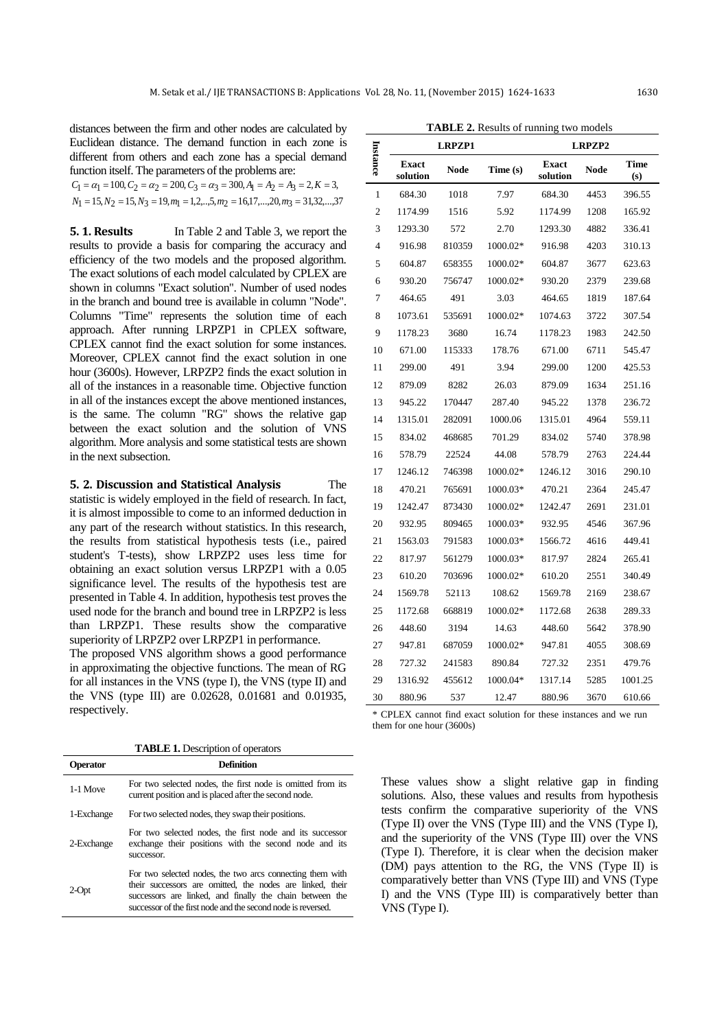distances between the firm and other nodes are calculated by Euclidean distance. The demand function in each zone is different from others and each zone has a special demand function itself. The parameters of the problems are:

| $C_1 = \alpha_1 = 100, C_2 = \alpha_2 = 200, C_3 = \alpha_3 = 300, A_1 = A_2 = A_3 = 2, K = 3,$           |
|-----------------------------------------------------------------------------------------------------------|
| $N_1 = 15, N_2 = 15, N_3 = 19, m_1 = 1, 2, \ldots, 5, m_2 = 16, 17, \ldots, 20, m_3 = 31, 32, \ldots, 37$ |

**5. 1. Results** In Table 2 and Table 3, we report the results to provide a basis for comparing the accuracy and efficiency of the two models and the proposed algorithm. The exact solutions of each model calculated by CPLEX are shown in columns "Exact solution". Number of used nodes in the branch and bound tree is available in column "Node". Columns "Time" represents the solution time of each approach. After running LRPZP1 in CPLEX software, CPLEX cannot find the exact solution for some instances. Moreover, CPLEX cannot find the exact solution in one hour (3600s). However, LRPZP2 finds the exact solution in all of the instances in a reasonable time. Objective function in all of the instances except the above mentioned instances, is the same. The column "RG" shows the relative gap between the exact solution and the solution of VNS algorithm. More analysis and some statistical tests are shown in the next subsection.

**5. 2. Discussion and Statistical Analysis** The statistic is widely employed in the field of research. In fact, it is almost impossible to come to an informed deduction in any part of the research without statistics. In this research, the results from statistical hypothesis tests (i.e., paired student's T-tests), show LRPZP2 uses less time for obtaining an exact solution versus LRPZP1 with a 0.05 significance level. The results of the hypothesis test are presented in Table 4. In addition, hypothesis test proves the used node for the branch and bound tree in LRPZP2 is less than LRPZP1. These results show the comparative superiority of LRPZP2 over LRPZP1 in performance. The proposed VNS algorithm shows a good performance

in approximating the objective functions. The mean of RG for all instances in the VNS (type I), the VNS (type II) and the VNS (type III) are 0.02628, 0.01681 and 0.01935, respectively.

**TABLE 1.** Description of operators

| <b>Operator</b> | <b>Definition</b>                                                                                                                                                                                                                                  |  |  |  |  |
|-----------------|----------------------------------------------------------------------------------------------------------------------------------------------------------------------------------------------------------------------------------------------------|--|--|--|--|
| 1-1 Move        | For two selected nodes, the first node is omitted from its<br>current position and is placed after the second node.                                                                                                                                |  |  |  |  |
| 1-Exchange      | For two selected nodes, they swap their positions.                                                                                                                                                                                                 |  |  |  |  |
| 2-Exchange      | For two selected nodes, the first node and its successor<br>exchange their positions with the second node and its<br>successor.                                                                                                                    |  |  |  |  |
| 2-Opt           | For two selected nodes, the two arcs connecting them with<br>their successors are omitted, the nodes are linked, their<br>successors are linked, and finally the chain between the<br>successor of the first node and the second node is reversed. |  |  |  |  |

|                | <b>LRPZP1</b>            |             |          | <b>LRPZP2</b>            |             |             |  |
|----------------|--------------------------|-------------|----------|--------------------------|-------------|-------------|--|
| Instance       | <b>Exact</b><br>solution | <b>Node</b> | Time (s) | <b>Exact</b><br>solution | <b>Node</b> | Time<br>(s) |  |
| 1              | 684.30                   | 1018        | 7.97     | 684.30                   | 4453        | 396.55      |  |
| 2              | 1174.99                  | 1516        | 5.92     | 1174.99                  | 1208        | 165.92      |  |
| 3              | 1293.30                  | 572         | 2.70     | 1293.30                  | 4882        | 336.41      |  |
| $\overline{4}$ | 916.98                   | 810359      | 1000.02* | 916.98                   | 4203        | 310.13      |  |
| 5              | 604.87                   | 658355      | 1000.02* | 604.87                   | 3677        | 623.63      |  |
| 6              | 930.20                   | 756747      | 1000.02* | 930.20                   | 2379        | 239.68      |  |
| 7              | 464.65                   | 491         | 3.03     | 464.65                   | 1819        | 187.64      |  |
| 8              | 1073.61                  | 535691      | 1000.02* | 1074.63                  | 3722        | 307.54      |  |
| 9              | 1178.23                  | 3680        | 16.74    | 1178.23                  | 1983        | 242.50      |  |
| 10             | 671.00                   | 115333      | 178.76   | 671.00                   | 6711        | 545.47      |  |
| 11             | 299.00                   | 491         | 3.94     | 299.00                   | 1200        | 425.53      |  |
| 12             | 879.09                   | 8282        | 26.03    | 879.09                   | 1634        | 251.16      |  |
| 13             | 945.22                   | 170447      | 287.40   | 945.22                   | 1378        | 236.72      |  |
| 14             | 1315.01                  | 282091      | 1000.06  | 1315.01                  | 4964        | 559.11      |  |
| 15             | 834.02                   | 468685      | 701.29   | 834.02                   | 5740        | 378.98      |  |
| 16             | 578.79                   | 22524       | 44.08    | 578.79                   | 2763        | 224.44      |  |
| 17             | 1246.12                  | 746398      | 1000.02* | 1246.12                  | 3016        | 290.10      |  |
| 18             | 470.21                   | 765691      | 1000.03* | 470.21                   | 2364        | 245.47      |  |
| 19             | 1242.47                  | 873430      | 1000.02* | 1242.47                  | 2691        | 231.01      |  |
| 20             | 932.95                   | 809465      | 1000.03* | 932.95                   | 4546        | 367.96      |  |
| 21             | 1563.03                  | 791583      | 1000.03* | 1566.72                  | 4616        | 449.41      |  |
| 22             | 817.97                   | 561279      | 1000.03* | 817.97                   | 2824        | 265.41      |  |
| 23             | 610.20                   | 703696      | 1000.02* | 610.20                   | 2551        | 340.49      |  |
| 24             | 1569.78                  | 52113       | 108.62   | 1569.78                  | 2169        | 238.67      |  |
| 25             | 1172.68                  | 668819      | 1000.02* | 1172.68                  | 2638        | 289.33      |  |
| 26             | 448.60                   | 3194        | 14.63    | 448.60                   | 5642        | 378.90      |  |
| 27             | 947.81                   | 687059      | 1000.02* | 947.81                   | 4055        | 308.69      |  |
| 28             | 727.32                   | 241583      | 890.84   | 727.32                   | 2351        | 479.76      |  |
| 29             | 1316.92                  | 455612      | 1000.04* | 1317.14                  | 5285        | 1001.25     |  |
| 30             | 880.96                   | 537         | 12.47    | 880.96                   | 3670        | 610.66      |  |

**TABLE 2.** Results of running two models

\* CPLEX cannot find exact solution for these instances and we run them for one hour (3600s)

These values show a slight relative gap in finding solutions. Also, these values and results from hypothesis tests confirm the comparative superiority of the VNS (Type II) over the VNS (Type III) and the VNS (Type I), and the superiority of the VNS (Type III) over the VNS (Type I). Therefore, it is clear when the decision maker (DM) pays attention to the RG, the VNS (Type II) is comparatively better than VNS (Type III) and VNS (Type I) and the VNS (Type III) is comparatively better than VNS (Type I).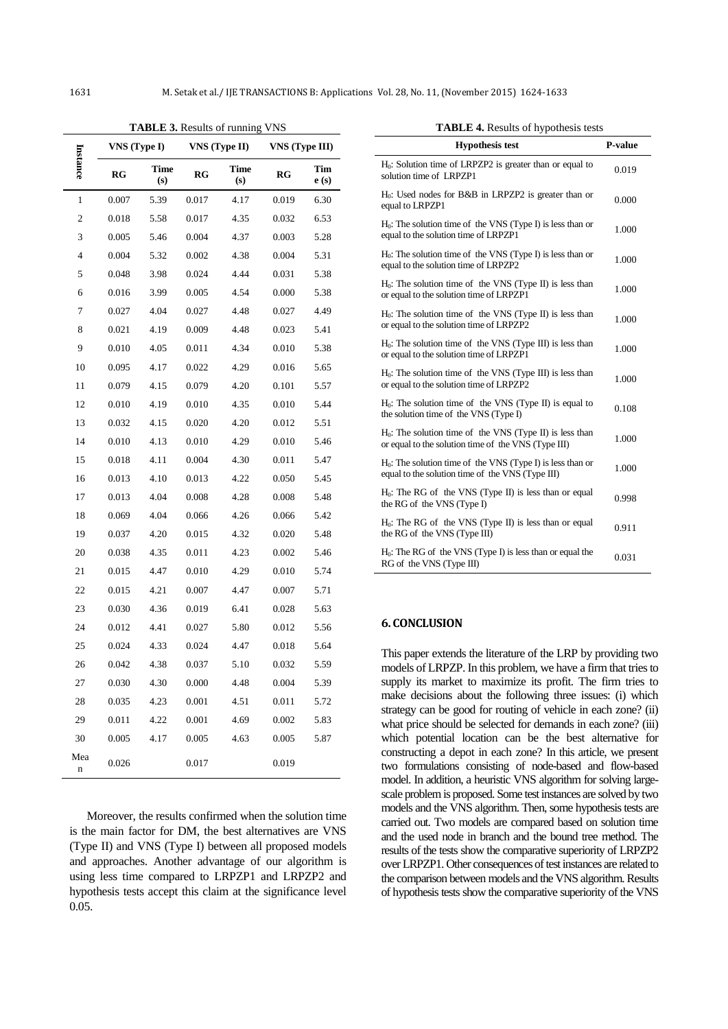$\overline{a}$ 

| Instance | VNS (Type I) |             | <b>TADLE</b> $\mathcal{I}$ , Results of Tumming<br><b>VNS</b> (Type II) |             | <b>ALLA</b><br><b>VNS</b> (Type III) |             |
|----------|--------------|-------------|-------------------------------------------------------------------------|-------------|--------------------------------------|-------------|
|          | RG           | Time<br>(s) | RG                                                                      | Time<br>(s) | RG                                   | Tim<br>e(s) |
| 1        | 0.007        | 5.39        | 0.017                                                                   | 4.17        | 0.019                                | 6.30        |
| 2        | 0.018        | 5.58        | 0.017                                                                   | 4.35        | 0.032                                | 6.53        |
| 3        | 0.005        | 5.46        | 0.004                                                                   | 4.37        | 0.003                                | 5.28        |
| 4        | 0.004        | 5.32        | 0.002                                                                   | 4.38        | 0.004                                | 5.31        |
| 5        | 0.048        | 3.98        | 0.024                                                                   | 4.44        | 0.031                                | 5.38        |
| 6        | 0.016        | 3.99        | 0.005                                                                   | 4.54        | 0.000                                | 5.38        |
| 7        | 0.027        | 4.04        | 0.027                                                                   | 4.48        | 0.027                                | 4.49        |
| 8        | 0.021        | 4.19        | 0.009                                                                   | 4.48        | 0.023                                | 5.41        |
| 9        | 0.010        | 4.05        | 0.011                                                                   | 4.34        | 0.010                                | 5.38        |
| 10       | 0.095        | 4.17        | 0.022                                                                   | 4.29        | 0.016                                | 5.65        |
| 11       | 0.079        | 4.15        | 0.079                                                                   | 4.20        | 0.101                                | 5.57        |
| 12       | 0.010        | 4.19        | 0.010                                                                   | 4.35        | 0.010                                | 5.44        |
| 13       | 0.032        | 4.15        | 0.020                                                                   | 4.20        | 0.012                                | 5.51        |
| 14       | 0.010        | 4.13        | 0.010                                                                   | 4.29        | 0.010                                | 5.46        |
| 15       | 0.018        | 4.11        | 0.004                                                                   | 4.30        | 0.011                                | 5.47        |
| 16       | 0.013        | 4.10        | 0.013                                                                   | 4.22        | 0.050                                | 5.45        |
| 17       | 0.013        | 4.04        | 0.008                                                                   | 4.28        | 0.008                                | 5.48        |
| 18       | 0.069        | 4.04        | 0.066                                                                   | 4.26        | 0.066                                | 5.42        |
| 19       | 0.037        | 4.20        | 0.015                                                                   | 4.32        | 0.020                                | 5.48        |
| 20       | 0.038        | 4.35        | 0.011                                                                   | 4.23        | 0.002                                | 5.46        |
| 21       | 0.015        | 4.47        | 0.010                                                                   | 4.29        | 0.010                                | 5.74        |
| 22       | 0.015        | 4.21        | 0.007                                                                   | 4.47        | 0.007                                | 5.71        |
| 23       | 0.030        | 4.36        | 0.019                                                                   | 6.41        | 0.028                                | 5.63        |
| 24       | 0.012        | 4.41        | 0.027                                                                   | 5.80        | 0.012                                | 5.56        |
| 25       | 0.024        | 4.33        | 0.024                                                                   | 4.47        | 0.018                                | 5.64        |
| 26       | 0.042        | 4.38        | 0.037                                                                   | 5.10        | 0.032                                | 5.59        |
| 27       | 0.030        | 4.30        | 0.000                                                                   | 4.48        | 0.004                                | 5.39        |
| 28       | 0.035        | 4.23        | 0.001                                                                   | 4.51        | 0.011                                | 5.72        |
| 29       | 0.011        | 4.22        | 0.001                                                                   | 4.69        | 0.002                                | 5.83        |
| 30       | 0.005        | 4.17        | 0.005                                                                   | 4.63        | 0.005                                | 5.87        |
| Mea<br>n | 0.026        |             | 0.017                                                                   |             | 0.019                                |             |

**TABLE 3.** Results of running VNS

**TABLE 4.** Results of hypothesis tests

| <b>Hypothesis test</b>                                                                                             | P-value |
|--------------------------------------------------------------------------------------------------------------------|---------|
| $H_0$ : Solution time of LRPZP2 is greater than or equal to<br>solution time of LRPZP1                             | 0.019   |
| $H_0$ : Used nodes for B&B in LRPZP2 is greater than or<br>equal to LRPZP1                                         | 0.000   |
| $H_0$ : The solution time of the VNS (Type I) is less than or<br>equal to the solution time of LRPZP1              | 1.000   |
| H <sub>0</sub> : The solution time of the VNS (Type I) is less than or<br>equal to the solution time of LRPZP2     | 1.000   |
| H <sub>0</sub> : The solution time of the VNS (Type II) is less than<br>or equal to the solution time of LRPZP1    | 1.000   |
| $H_0$ : The solution time of the VNS (Type II) is less than<br>or equal to the solution time of LRPZP2             | 1.000   |
| $H_0$ : The solution time of the VNS (Type III) is less than<br>or equal to the solution time of LRPZP1            | 1.000   |
| $H_0$ : The solution time of the VNS (Type III) is less than<br>or equal to the solution time of LRPZP2            | 1.000   |
| $H_0$ : The solution time of the VNS (Type II) is equal to<br>the solution time of the VNS (Type I)                | 0.108   |
| $H_0$ : The solution time of the VNS (Type II) is less than<br>or equal to the solution time of the VNS (Type III) | 1.000   |
| $H_0$ : The solution time of the VNS (Type I) is less than or<br>equal to the solution time of the VNS (Type III)  | 1.000   |
| $H_0$ : The RG of the VNS (Type II) is less than or equal<br>the RG of the VNS (Type I)                            | 0.998   |
| $H_0$ : The RG of the VNS (Type II) is less than or equal<br>the RG of the VNS (Type III)                          | 0.911   |
| $H_0$ : The RG of the VNS (Type I) is less than or equal the<br>RG of the VNS (Type III)                           | 0.031   |

### **6. CONCLUSION**

This paper extends the literature of the LRP by providing two models of LRPZP. In this problem, we have a firm that tries to supply its market to maximize its profit. The firm tries to make decisions about the following three issues: (i) which strategy can be good for routing of vehicle in each zone? (ii) what price should be selected for demands in each zone? (iii) which potential location can be the best alternative for constructing a depot in each zone? In this article, we present two formulations consisting of node-based and flow-based model. In addition, a heuristic VNS algorithm for solving largescale problem is proposed. Some test instances are solved by two models and the VNS algorithm. Then, some hypothesis tests are carried out. Two models are compared based on solution time and the used node in branch and the bound tree method. The results of the tests show the comparative superiority of LRPZP2 over LRPZP1. Other consequences of test instances are related to the comparison between models and the VNS algorithm. Results of hypothesis tests show the comparative superiority of the VNS

Moreover, the results confirmed when the solution time is the main factor for DM, the best alternatives are VNS (Type II) and VNS (Type I) between all proposed models and approaches. Another advantage of our algorithm is using less time compared to LRPZP1 and LRPZP2 and hypothesis tests accept this claim at the significance level 0.05.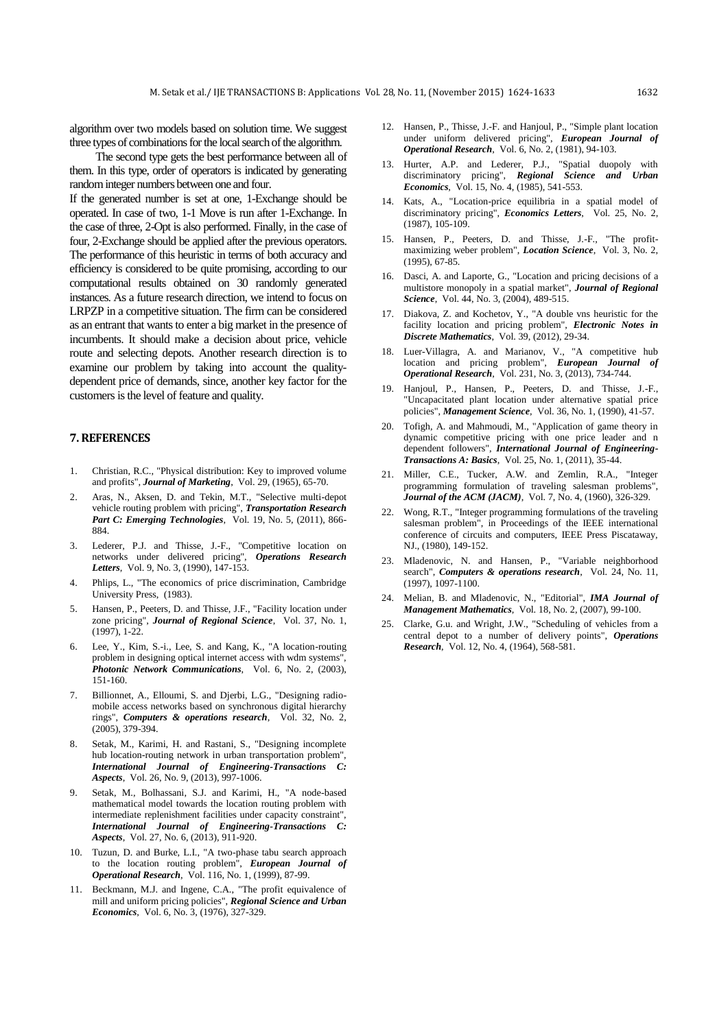algorithm over two models based on solution time. We suggest three types of combinations for the local search of the algorithm.

The second type gets the best performance between all of them. In this type, order of operators is indicated by generating random integer numbers between one and four.

If the generated number is set at one, 1-Exchange should be operated. In case of two, 1-1 Move is run after 1-Exchange. In the case of three, 2-Opt is also performed. Finally, in the case of four, 2-Exchange should be applied after the previous operators. The performance of this heuristic in terms of both accuracy and efficiency is considered to be quite promising, according to our computational results obtained on 30 randomly generated instances. As a future research direction, we intend to focus on LRPZP in a competitive situation. The firm can be considered as an entrant that wants to enter a big market in the presence of incumbents. It should make a decision about price, vehicle route and selecting depots. Another research direction is to examine our problem by taking into account the qualitydependent price of demands, since, another key factor for the customers is the level of feature and quality.

#### **7. REFERENCES**

- <span id="page-8-0"></span>1. Christian, R.C., "Physical distribution: Key to improved volume and profits", *Journal of Marketing*, Vol. 29, (1965), 65-70.
- <span id="page-8-1"></span>2. Aras, N., Aksen, D. and Tekin, M.T., "Selective multi-depot vehicle routing problem with pricing", *Transportation Research Part C: Emerging Technologies*, Vol. 19, No. 5, (2011), 866- 884.
- <span id="page-8-2"></span>3. Lederer, P.J. and Thisse, J.-F., "Competitive location on networks under delivered pricing", *Operations Research Letters*, Vol. 9, No. 3, (1990), 147-153.
- <span id="page-8-3"></span>4. Phlips, L., "The economics of price discrimination, Cambridge University Press, (1983).
- <span id="page-8-4"></span>5. Hansen, P., Peeters, D. and Thisse, J.F., "Facility location under zone pricing", *Journal of Regional Science*, Vol. 37, No. 1, (1997), 1-22.
- <span id="page-8-5"></span>6. Lee, Y., Kim, S.-i., Lee, S. and Kang, K., "A location-routing problem in designing optical internet access with wdm systems", *Photonic Network Communications*, Vol. 6, No. 2, (2003), 151-160.
- <span id="page-8-6"></span>7. Billionnet, A., Elloumi, S. and Djerbi, L.G., "Designing radiomobile access networks based on synchronous digital hierarchy rings", *Computers & operations research*, Vol. 32, No. 2, (2005), 379-394.
- <span id="page-8-7"></span>8. Setak, M., Karimi, H. and Rastani, S., "Designing incomplete hub location-routing network in urban transportation problem", *International Journal of Engineering-Transactions C: Aspects*, Vol. 26, No. 9, (2013), 997-1006.
- <span id="page-8-8"></span>9. Setak, M., Bolhassani, S.J. and Karimi, H., "A node-based mathematical model towards the location routing problem with intermediate replenishment facilities under capacity constraint", *International Journal of Engineering-Transactions C: Aspects*, Vol. 27, No. 6, (2013), 911-920.
- <span id="page-8-9"></span>10. Tuzun, D. and Burke, L.I., "A two-phase tabu search approach to the location routing problem", *European Journal of Operational Research*, Vol. 116, No. 1, (1999), 87-99.
- <span id="page-8-10"></span>11. Beckmann, M.J. and Ingene, C.A., "The profit equivalence of mill and uniform pricing policies", *Regional Science and Urban Economics*, Vol. 6, No. 3, (1976), 327-329.
- <span id="page-8-11"></span>12. Hansen, P., Thisse, J.-F. and Hanjoul, P., "Simple plant location under uniform delivered pricing", *European Journal of Operational Research*, Vol. 6, No. 2, (1981), 94-103.
- <span id="page-8-12"></span>13. Hurter, A.P. and Lederer, P.J., "Spatial duopoly with discriminatory pricing", *Regional Science and Urban Economics*, Vol. 15, No. 4, (1985), 541-553.
- <span id="page-8-13"></span>14. Kats, A., "Location-price equilibria in a spatial model of discriminatory pricing", *Economics Letters*, Vol. 25, No. 2, (1987), 105-109.
- <span id="page-8-14"></span>15. Hansen, P., Peeters, D. and Thisse, J.-F., "The profitmaximizing weber problem", *Location Science*, Vol. 3, No. 2, (1995), 67-85.
- <span id="page-8-15"></span>16. Dasci, A. and Laporte, G., "Location and pricing decisions of a multistore monopoly in a spatial market", *Journal of Regional Science*, Vol. 44, No. 3, (2004), 489-515.
- <span id="page-8-16"></span>17. Diakova, Z. and Kochetov, Y., "A double vns heuristic for the facility location and pricing problem", *Electronic Notes in Discrete Mathematics*, Vol. 39, (2012), 29-34.
- <span id="page-8-17"></span>18. Luer-Villagra, A. and Marianov, V., "A competitive hub location and pricing problem", *European Journal of Operational Research*, Vol. 231, No. 3, (2013), 734-744.
- <span id="page-8-18"></span>19. Hanjoul, P., Hansen, P., Peeters, D. and Thisse, J.-F., "Uncapacitated plant location under alternative spatial price policies", *Management Science*, Vol. 36, No. 1, (1990), 41-57.
- <span id="page-8-19"></span>20. Tofigh, A. and Mahmoudi, M., "Application of game theory in dynamic competitive pricing with one price leader and n dependent followers", *International Journal of Engineering-Transactions A: Basics*, Vol. 25, No. 1, (2011), 35-44.
- <span id="page-8-20"></span>21. Miller, C.E., Tucker, A.W. and Zemlin, R.A., "Integer programming formulation of traveling salesman problems", *Journal of the ACM (JACM)*, Vol. 7, No. 4, (1960), 326-329.
- <span id="page-8-21"></span>22. Wong, R.T., "Integer programming formulations of the traveling salesman problem", in Proceedings of the IEEE international conference of circuits and computers, IEEE Press Piscataway, NJ., (1980), 149-152.
- <span id="page-8-22"></span>23. Mladenovic, N. and Hansen, P., "Variable neighborhood search", *Computers & operations research*, Vol. 24, No. 11, (1997), 1097-1100.
- <span id="page-8-23"></span>24. Melian, B. and Mladenovic, N., "Editorial", *IMA Journal of Management Mathematics*, Vol. 18, No. 2, (2007), 99-100.
- <span id="page-8-24"></span>Clarke, G.u. and Wright, J.W., "Scheduling of vehicles from a central depot to a number of delivery points", *Operations Research*, Vol. 12, No. 4, (1964), 568-581.